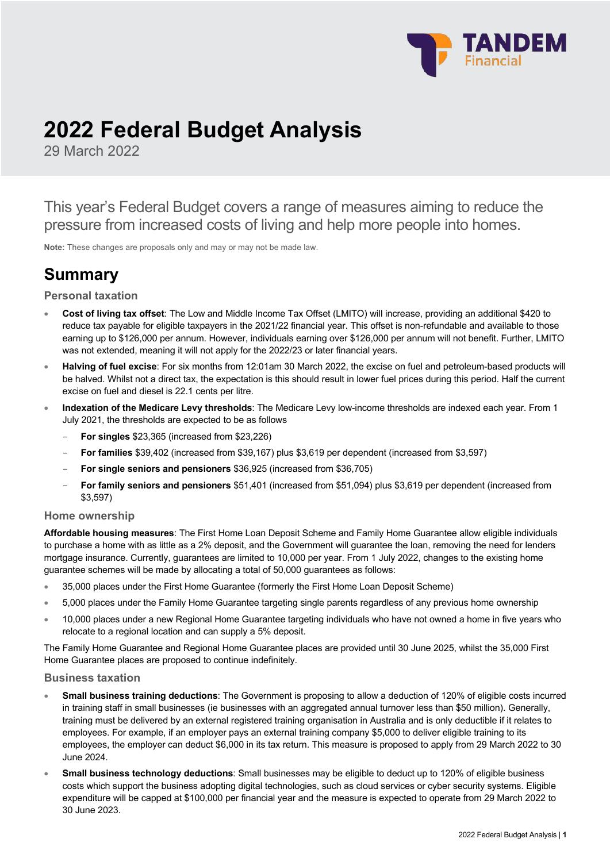

# **2022 Federal Budget Analysis**

29 March 2022

This year's Federal Budget covers a range of measures aiming to reduce the pressure from increased costs of living and help more people into homes.

**Note:** These changes are proposals only and may or may not be made law.

# **Summary**

## **Personal taxation**

- **Cost of living tax offset**: The Low and Middle Income Tax Offset (LMITO) will increase, providing an additional \$420 to reduce tax payable for eligible taxpayers in the 2021/22 financial year. This offset is non-refundable and available to those earning up to \$126,000 per annum. However, individuals earning over \$126,000 per annum will not benefit. Further, LMITO was not extended, meaning it will not apply for the 2022/23 or later financial years.
- **Halving of fuel excise**: For six months from 12:01am 30 March 2022, the excise on fuel and petroleum-based products will be halved. Whilst not a direct tax, the expectation is this should result in lower fuel prices during this period. Half the current excise on fuel and diesel is 22.1 cents per litre.
- **Indexation of the Medicare Levy thresholds**: The Medicare Levy low-income thresholds are indexed each year. From 1 July 2021, the thresholds are expected to be as follows
	- **For singles** \$23,365 (increased from \$23,226)
	- **For families** \$39,402 (increased from \$39,167) plus \$3,619 per dependent (increased from \$3,597)
	- **For single seniors and pensioners** \$36,925 (increased from \$36,705)
	- **For family seniors and pensioners** \$51,401 (increased from \$51,094) plus \$3,619 per dependent (increased from \$3,597)

### **Home ownership**

**Affordable housing measures**: The First Home Loan Deposit Scheme and Family Home Guarantee allow eligible individuals to purchase a home with as little as a 2% deposit, and the Government will guarantee the loan, removing the need for lenders mortgage insurance. Currently, guarantees are limited to 10,000 per year. From 1 July 2022, changes to the existing home guarantee schemes will be made by allocating a total of 50,000 guarantees as follows:

- 35,000 places under the First Home Guarantee (formerly the First Home Loan Deposit Scheme)
- 5,000 places under the Family Home Guarantee targeting single parents regardless of any previous home ownership
- 10,000 places under a new Regional Home Guarantee targeting individuals who have not owned a home in five years who relocate to a regional location and can supply a 5% deposit.

The Family Home Guarantee and Regional Home Guarantee places are provided until 30 June 2025, whilst the 35,000 First Home Guarantee places are proposed to continue indefinitely.

### **Business taxation**

- **Small business training deductions**: The Government is proposing to allow a deduction of 120% of eligible costs incurred in training staff in small businesses (ie businesses with an aggregated annual turnover less than \$50 million). Generally, training must be delivered by an external registered training organisation in Australia and is only deductible if it relates to employees. For example, if an employer pays an external training company \$5,000 to deliver eligible training to its employees, the employer can deduct \$6,000 in its tax return. This measure is proposed to apply from 29 March 2022 to 30 June 2024.
- **Small business technology deductions**: Small businesses may be eligible to deduct up to 120% of eligible business costs which support the business adopting digital technologies, such as cloud services or cyber security systems. Eligible expenditure will be capped at \$100,000 per financial year and the measure is expected to operate from 29 March 2022 to 30 June 2023.